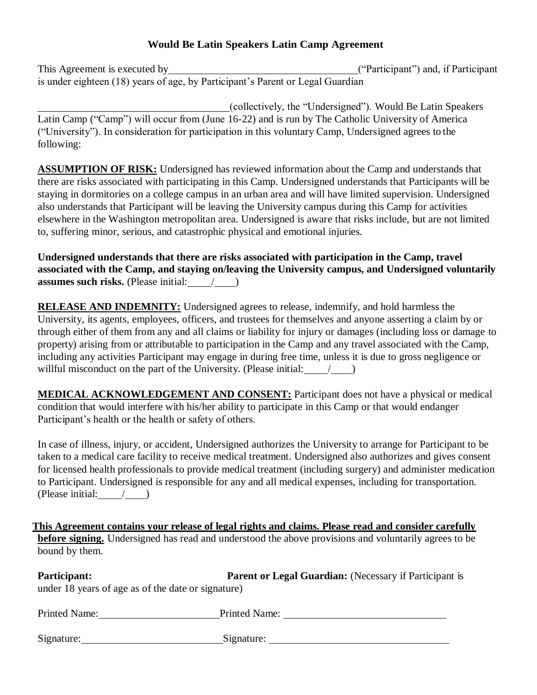## **Would Be Latin Speakers Latin Camp Agreement**

This Agreement is executed by ("Participant") and, if Participant is under eighteen (18) years of age, by Participant's Parent or Legal Guardian

(collectively, the "Undersigned"). Would Be Latin Speakers Latin Camp ("Camp") will occur from (June 16-22) and is run by The Catholic University of America ("University"). In consideration for participation in this voluntary Camp, Undersigned agrees to the following:

**ASSUMPTION OF RISK:** Undersigned has reviewed information about the Camp and understands that there are risks associated with participating in this Camp. Undersigned understands that Participants will be staying in dormitories on a college campus in an urban area and will have limited supervision. Undersigned also understands that Participant will be leaving the University campus during this Camp for activities elsewhere in the Washington metropolitan area. Undersigned is aware that risks include, but are not limited to, suffering minor, serious, and catastrophic physical and emotional injuries.

**Undersigned understands that there are risks associated with participation in the Camp, travel associated with the Camp, and staying on/leaving the University campus, and Undersigned voluntarily assumes such risks.** (Please initial:  $\qquad$  / )

**RELEASE AND INDEMNITY:** Undersigned agrees to release, indemnify, and hold harmless the University, its agents, employees, officers, and trustees for themselves and anyone asserting a claim by or through either of them from any and all claims or liability for injury or damages (including loss or damage to property) arising from or attributable to participation in the Camp and any travel associated with the Camp, including any activities Participant may engage in during free time, unless it is due to gross negligence or willful misconduct on the part of the University. (Please initial:  $/$ )

**MEDICAL ACKNOWLEDGEMENT AND CONSENT:** Participant does not have a physical or medical condition that would interfere with his/her ability to participate in this Camp or that would endanger Participant's health or the health or safety of others.

In case of illness, injury, or accident, Undersigned authorizes the University to arrange for Participant to be taken to a medical care facility to receive medical treatment. Undersigned also authorizes and gives consent for licensed health professionals to provide medical treatment (including surgery) and administer medication to Participant. Undersigned is responsible for any and all medical expenses, including for transportation. (Please initial: $\_\_\_\_\_$ 

**This Agreement contains your release of legal rights and claims. Please read and consider carefully before signing.** Undersigned has read and understood the above provisions and voluntarily agrees to be bound by them.

| <b>Participant:</b>                                | <b>Parent or Legal Guardian:</b> (Necessary if Participant is |  |
|----------------------------------------------------|---------------------------------------------------------------|--|
| under 18 years of age as of the date or signature) |                                                               |  |

| <b>Printed Name:</b> | <b>Printed Name:</b> |
|----------------------|----------------------|
|                      |                      |
| Signature:           | Signature:           |